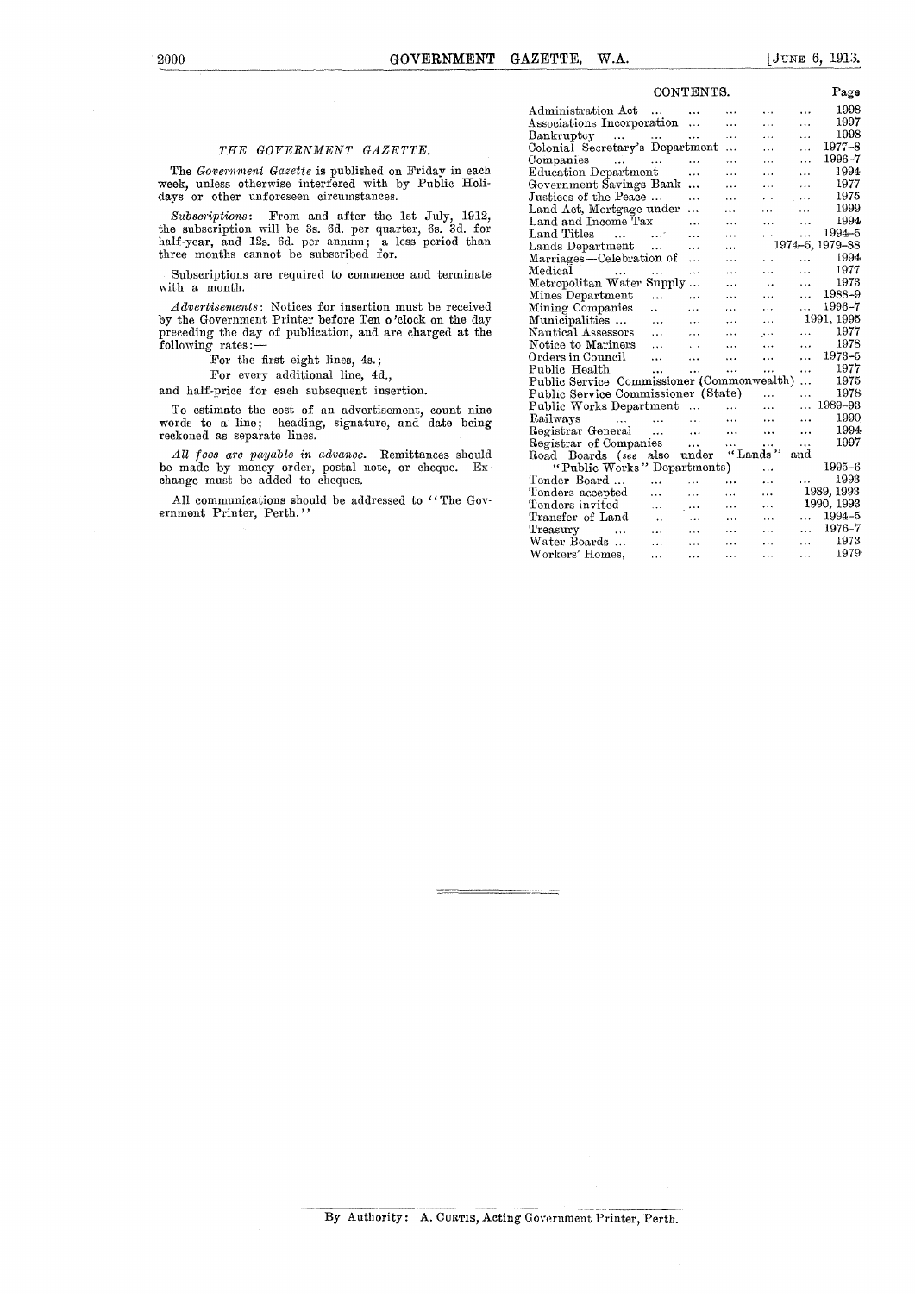## *THE GOVERNMENT GAZETTE.*

The *Government Gazette* is published on Friday in each week, unless otherwise interfered with by Public Holidays or other unforeseen circumstances.

*Subscriptions:* From and after the 1st July, 1912, the subscription will be 3s. 6d. per quarter, 6s. 3d. for half-year, and 12s. 6d. per annum; a less period than three months cannot be subscribed for.

Subscriptions are required to commence and terminate with a month.

*Advertisements:* Notices for insertion must be received by the Government Printer before Ten o'clock on the day preceding the day of publication, and are charged at the following rates:—

For the first eight lines, 4s.;

For every additional line, 4d.,

and half-price for each subsequent insertion.

To estimate the cost of an advertisement, count nine words to a line; heading, signature, and date being reckoned as separate lines.

*All fees are payable in advance.* Remittances should be made by money order, postal note, or cheque. Exchange must be added to cheques.

All communications should be addressed to "The Government Printer, Perth."

| CONTENTS.                                       |                      |                      |           |                      |                 | Page       |
|-------------------------------------------------|----------------------|----------------------|-----------|----------------------|-----------------|------------|
| Administration Act                              | .                    |                      | $\ddotsc$ | $\cdots$             |                 | 1998       |
| Associations Incorporation                      |                      | $\ddotsc$            | $\ddotsc$ | $\ddot{\phantom{a}}$ | .               | 1997       |
| Bankruptcy                                      |                      |                      | $\ddotsc$ | $\ddotsc$            | .               | 1998       |
| Colonial Secretary's Department                 |                      |                      | .         | .                    | .               | 1977–8     |
| Companies<br>$\sim$ 100 $\pm$                   | .                    | .                    | .         | $\ddotsc$            | $\cdots$        | 1996–7     |
| Education Department                            |                      | .                    | $\cdots$  | $\cdots$             | $\ddotsc$       | 1994       |
| Government Savings Bank                         |                      |                      | .         | .                    | .               | 1977       |
| Justices of the Peace                           |                      |                      | .         | $\cdots$             | $\cdots$        | 1976       |
| Land Act, Mortgage under                        |                      | .                    | .         | $\cdots$             | .               | 1999       |
| Land and Income Tax                             |                      | .                    | .         |                      | $\ddotsc$       | 1994       |
| Land Titles<br>$\cdots$                         | $\cdots$             | .                    | $\ddotsc$ |                      |                 | 1994–5     |
| Lands Department                                |                      | .                    | $\ddotsc$ |                      | 1974-5, 1979-88 |            |
| Marriages—Celebration of                        |                      | .                    | .         | $\ddotsc$            | .               | 1994       |
| Medical<br>$\cdots$                             |                      | .                    | .         | .                    | $\cdots$        | 1977       |
| Metropolitan Water Supply                       |                      |                      | $\cdot$   | $\ddot{\phantom{0}}$ | $\cdots$        | 1973       |
| Mines Department                                | $\ddotsc$            | $\cdots$             | $\ddotsc$ | $\cdots$             | .               | 1988–9     |
| Mining Companies                                | . .                  | $\cdot$ $\cdot$      | $\ddotsc$ | $\cdots$             |                 | 1996–7     |
| Municipalities                                  | $\cdots$             | $\cdots$             | .         | .                    |                 | 1991, 1995 |
| Nautical Assessors                              | .                    | .                    | .         | $\cdots$             | .               | 1977       |
| Notice to Mariners                              | $\cdots$             | . .                  | $\ddotsc$ | $\cdots$             | $\ddotsc$       | 1978       |
| Orders in Council                               |                      |                      | .         | .                    | $\cdots$        | 1973-5     |
| Public Health                                   | $\cdots$             | $\cdots$             | .         | $\cdots$             | $\cdots$        | 1977       |
| Public Service Commissioner (Commonwealth)      |                      |                      |           |                      | .               | 1975       |
| Public Service Commissioner (State)<br>$\cdots$ |                      |                      |           |                      | .               | 1978       |
| Public Works Department                         |                      | $\ddotsc$            |           | .                    |                 | 1989-93    |
| Railways<br><b>Contractor</b>                   | .                    | $\cdots$             | $\ddotsc$ | $\ddotsc$            |                 | 1990       |
| Registrar General                               |                      | $\ddotsc$            | .         | .                    |                 | 1994       |
| Registrar of Companies                          |                      | $\cdots$             |           | $\cdots$             | .               | 1997       |
| Road Boards (see                                | also                 | under                | "Lands    |                      | and             |            |
| "Public Works" Departments)                     |                      |                      |           | $\ddotsc$            |                 | 1995-6     |
| Tender Board                                    | .                    | .                    | $\ddotsc$ | .                    | $\cdots$        | 1993       |
| Tenders accepted                                | .                    | $\sim$ $\sim$ $\sim$ | $\cdots$  | $\cdots$             |                 | 1989, 1993 |
| Tenders invited                                 | $\ddotsc$            | $\sim$ 4.4 $\sigma$  | $\ddotsc$ | .                    |                 | 1990, 1993 |
| Transfer of Land                                | $\ddot{\phantom{a}}$ | $\cdots$             | $\cdots$  | .                    |                 | 1994-5     |
| Treasury                                        | $\cdots$             | $\cdots$             |           | $\ddotsc$            |                 | 1976-7     |
| Water Boards                                    |                      |                      |           |                      | $\cdots$        | 1973       |
| Workers' Homes.                                 |                      |                      | .         | $\cdots$             | .               | 1979       |
|                                                 |                      |                      |           |                      |                 |            |